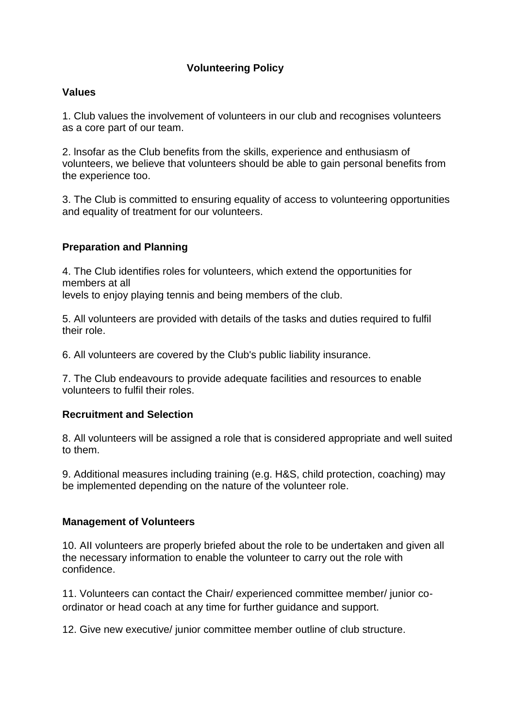# **Volunteering Policy**

### **Values**

1. Club values the involvement of volunteers in our club and recognises volunteers as a core part of our team.

2. lnsofar as the Club benefits from the skills, experience and enthusiasm of volunteers, we believe that volunteers should be able to gain personal benefits from the experience too.

3. The Club is committed to ensuring equality of access to volunteering opportunities and equality of treatment for our volunteers.

# **Preparation and Planning**

4. The Club identifies roles for volunteers, which extend the opportunities for members at all

levels to enjoy playing tennis and being members of the club.

5. All volunteers are provided with details of the tasks and duties required to fulfil their role.

6. All volunteers are covered by the Club's public liability insurance.

7. The Club endeavours to provide adequate facilities and resources to enable volunteers to fulfil their roles.

#### **Recruitment and Selection**

8. All volunteers will be assigned a role that is considered appropriate and well suited to them.

9. Additional measures including training (e.g. H&S, child protection, coaching) may be implemented depending on the nature of the volunteer role.

#### **Management of Volunteers**

10. AII volunteers are properly briefed about the role to be undertaken and given all the necessary information to enable the volunteer to carry out the role with confidence.

11. Volunteers can contact the Chair/ experienced committee member/ junior coordinator or head coach at any time for further guidance and support.

12. Give new executive/ junior committee member outline of club structure.